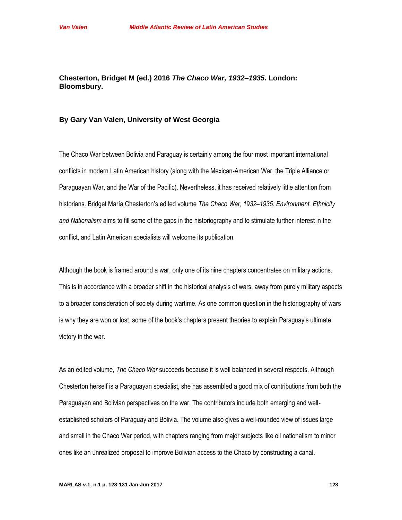## **Chesterton, Bridget M (ed.) 2016** *The Chaco War, 1932–1935.* **London: Bloomsbury.**

## **By Gary Van Valen, University of West Georgia**

The Chaco War between Bolivia and Paraguay is certainly among the four most important international conflicts in modern Latin American history (along with the Mexican-American War, the Triple Alliance or Paraguayan War, and the War of the Pacific). Nevertheless, it has received relatively little attention from historians. Bridget María Chesterton's edited volume *The Chaco War, 1932–1935: Environment, Ethnicity and Nationalism* aims to fill some of the gaps in the historiography and to stimulate further interest in the conflict, and Latin American specialists will welcome its publication.

Although the book is framed around a war, only one of its nine chapters concentrates on military actions. This is in accordance with a broader shift in the historical analysis of wars, away from purely military aspects to a broader consideration of society during wartime. As one common question in the historiography of wars is why they are won or lost, some of the book's chapters present theories to explain Paraguay's ultimate victory in the war.

As an edited volume, *The Chaco War* succeeds because it is well balanced in several respects. Although Chesterton herself is a Paraguayan specialist, she has assembled a good mix of contributions from both the Paraguayan and Bolivian perspectives on the war. The contributors include both emerging and wellestablished scholars of Paraguay and Bolivia. The volume also gives a well-rounded view of issues large and small in the Chaco War period, with chapters ranging from major subjects like oil nationalism to minor ones like an unrealized proposal to improve Bolivian access to the Chaco by constructing a canal.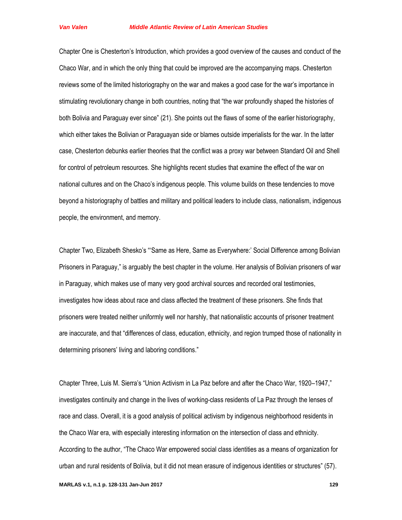Chapter One is Chesterton's Introduction, which provides a good overview of the causes and conduct of the Chaco War, and in which the only thing that could be improved are the accompanying maps. Chesterton reviews some of the limited historiography on the war and makes a good case for the war's importance in stimulating revolutionary change in both countries, noting that "the war profoundly shaped the histories of both Bolivia and Paraguay ever since" (21). She points out the flaws of some of the earlier historiography, which either takes the Bolivian or Paraguayan side or blames outside imperialists for the war. In the latter case, Chesterton debunks earlier theories that the conflict was a proxy war between Standard Oil and Shell for control of petroleum resources. She highlights recent studies that examine the effect of the war on national cultures and on the Chaco's indigenous people. This volume builds on these tendencies to move beyond a historiography of battles and military and political leaders to include class, nationalism, indigenous people, the environment, and memory.

Chapter Two, Elizabeth Shesko's "'Same as Here, Same as Everywhere:' Social Difference among Bolivian Prisoners in Paraguay," is arguably the best chapter in the volume. Her analysis of Bolivian prisoners of war in Paraguay, which makes use of many very good archival sources and recorded oral testimonies, investigates how ideas about race and class affected the treatment of these prisoners. She finds that prisoners were treated neither uniformly well nor harshly, that nationalistic accounts of prisoner treatment are inaccurate, and that "differences of class, education, ethnicity, and region trumped those of nationality in determining prisoners' living and laboring conditions."

Chapter Three, Luis M. Sierra's "Union Activism in La Paz before and after the Chaco War, 1920–1947," investigates continuity and change in the lives of working-class residents of La Paz through the lenses of race and class. Overall, it is a good analysis of political activism by indigenous neighborhood residents in the Chaco War era, with especially interesting information on the intersection of class and ethnicity. According to the author, "The Chaco War empowered social class identities as a means of organization for urban and rural residents of Bolivia, but it did not mean erasure of indigenous identities or structures" (57).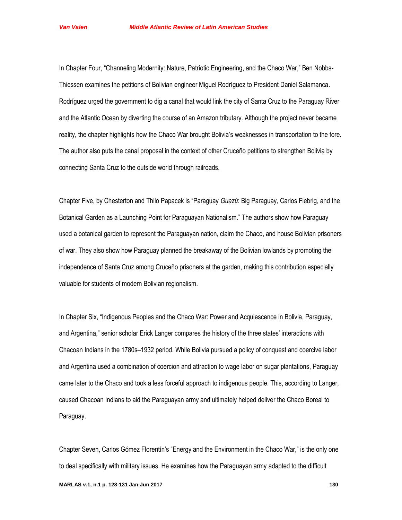In Chapter Four, "Channeling Modernity: Nature, Patriotic Engineering, and the Chaco War," Ben Nobbs-Thiessen examines the petitions of Bolivian engineer Miguel Rodríguez to President Daniel Salamanca. Rodríguez urged the government to dig a canal that would link the city of Santa Cruz to the Paraguay River and the Atlantic Ocean by diverting the course of an Amazon tributary. Although the project never became reality, the chapter highlights how the Chaco War brought Bolivia's weaknesses in transportation to the fore. The author also puts the canal proposal in the context of other Cruceño petitions to strengthen Bolivia by connecting Santa Cruz to the outside world through railroads.

Chapter Five, by Chesterton and Thilo Papacek is "Paraguay *Guazú*: Big Paraguay, Carlos Fiebrig, and the Botanical Garden as a Launching Point for Paraguayan Nationalism." The authors show how Paraguay used a botanical garden to represent the Paraguayan nation, claim the Chaco, and house Bolivian prisoners of war. They also show how Paraguay planned the breakaway of the Bolivian lowlands by promoting the independence of Santa Cruz among Cruceño prisoners at the garden, making this contribution especially valuable for students of modern Bolivian regionalism.

In Chapter Six, "Indigenous Peoples and the Chaco War: Power and Acquiescence in Bolivia, Paraguay, and Argentina," senior scholar Erick Langer compares the history of the three states' interactions with Chacoan Indians in the 1780s–1932 period. While Bolivia pursued a policy of conquest and coercive labor and Argentina used a combination of coercion and attraction to wage labor on sugar plantations, Paraguay came later to the Chaco and took a less forceful approach to indigenous people. This, according to Langer, caused Chacoan Indians to aid the Paraguayan army and ultimately helped deliver the Chaco Boreal to Paraguay.

Chapter Seven, Carlos Gómez Florentín's "Energy and the Environment in the Chaco War," is the only one to deal specifically with military issues. He examines how the Paraguayan army adapted to the difficult